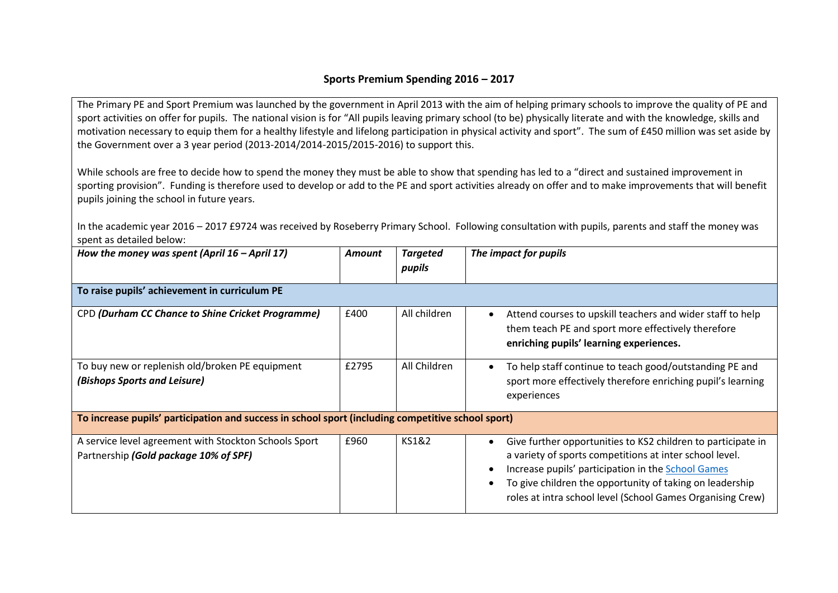## **Sports Premium Spending 2016 – 2017**

The Primary PE and Sport Premium was launched by the government in April 2013 with the aim of helping primary schools to improve the quality of PE and sport activities on offer for pupils. The national vision is for "All pupils leaving primary school (to be) physically literate and with the knowledge, skills and motivation necessary to equip them for a healthy lifestyle and lifelong participation in physical activity and sport". The sum of £450 million was set aside by the Government over a 3 year period (2013-2014/2014-2015/2015-2016) to support this.

While schools are free to decide how to spend the money they must be able to show that spending has led to a "direct and sustained improvement in sporting provision". Funding is therefore used to develop or add to the PE and sport activities already on offer and to make improvements that will benefit pupils joining the school in future years.

In the academic year 2016 – 2017 £9724 was received by Roseberry Primary School. Following consultation with pupils, parents and staff the money was spent as detailed below:

| How the money was spent (April $16$ – April 17)                                                    | <b>Amount</b> | <b>Targeted</b><br>pupils | The impact for pupils                                                                                                                                                                                                                                                                                   |
|----------------------------------------------------------------------------------------------------|---------------|---------------------------|---------------------------------------------------------------------------------------------------------------------------------------------------------------------------------------------------------------------------------------------------------------------------------------------------------|
| To raise pupils' achievement in curriculum PE                                                      |               |                           |                                                                                                                                                                                                                                                                                                         |
| CPD (Durham CC Chance to Shine Cricket Programme)                                                  | £400          | All children              | Attend courses to upskill teachers and wider staff to help<br>them teach PE and sport more effectively therefore<br>enriching pupils' learning experiences.                                                                                                                                             |
| To buy new or replenish old/broken PE equipment<br>(Bishops Sports and Leisure)                    | £2795         | All Children              | To help staff continue to teach good/outstanding PE and<br>sport more effectively therefore enriching pupil's learning<br>experiences                                                                                                                                                                   |
| To increase pupils' participation and success in school sport (including competitive school sport) |               |                           |                                                                                                                                                                                                                                                                                                         |
| A service level agreement with Stockton Schools Sport<br>Partnership (Gold package 10% of SPF)     | £960          | <b>KS1&amp;2</b>          | Give further opportunities to KS2 children to participate in<br>a variety of sports competitions at inter school level.<br>Increase pupils' participation in the School Games<br>To give children the opportunity of taking on leadership<br>roles at intra school level (School Games Organising Crew) |